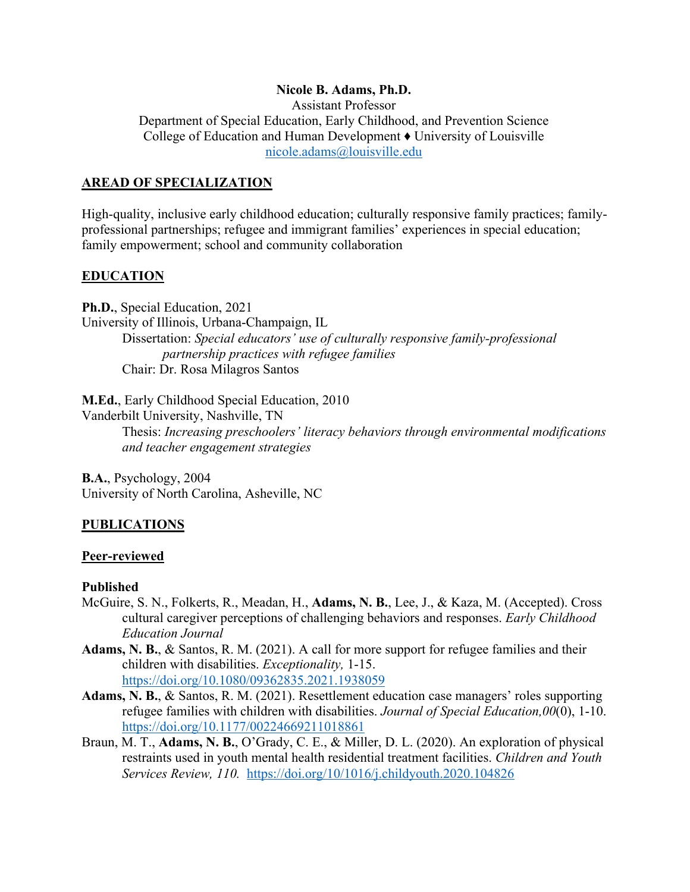#### **Nicole B. Adams, Ph.D.**

Assistant Professor Department of Special Education, Early Childhood, and Prevention Science College of Education and Human Development ♦ University of Louisville nicole.adams@louisville.edu

#### **AREAD OF SPECIALIZATION**

High-quality, inclusive early childhood education; culturally responsive family practices; familyprofessional partnerships; refugee and immigrant families' experiences in special education; family empowerment; school and community collaboration

### **EDUCATION**

**Ph.D.**, Special Education, 2021 University of Illinois, Urbana-Champaign, IL Dissertation: *Special educators' use of culturally responsive family-professional partnership practices with refugee families* Chair: Dr. Rosa Milagros Santos

**M.Ed.**, Early Childhood Special Education, 2010 Vanderbilt University, Nashville, TN Thesis: *Increasing preschoolers' literacy behaviors through environmental modifications and teacher engagement strategies*

**B.A.**, Psychology, 2004 University of North Carolina, Asheville, NC

### **PUBLICATIONS**

#### **Peer-reviewed**

#### **Published**

- McGuire, S. N., Folkerts, R., Meadan, H., **Adams, N. B.**, Lee, J., & Kaza, M. (Accepted). Cross cultural caregiver perceptions of challenging behaviors and responses. *Early Childhood Education Journal*
- **Adams, N. B.**, & Santos, R. M. (2021). A call for more support for refugee families and their children with disabilities. *Exceptionality,* 1-15. https://doi.org/10.1080/09362835.2021.1938059
- **Adams, N. B.**, & Santos, R. M. (2021). Resettlement education case managers' roles supporting refugee families with children with disabilities. *Journal of Special Education,00*(0), 1-10. https://doi.org/10.1177/00224669211018861
- Braun, M. T., **Adams, N. B.**, O'Grady, C. E., & Miller, D. L. (2020). An exploration of physical restraints used in youth mental health residential treatment facilities. *Children and Youth Services Review, 110.* https://doi.org/10/1016/j.childyouth.2020.104826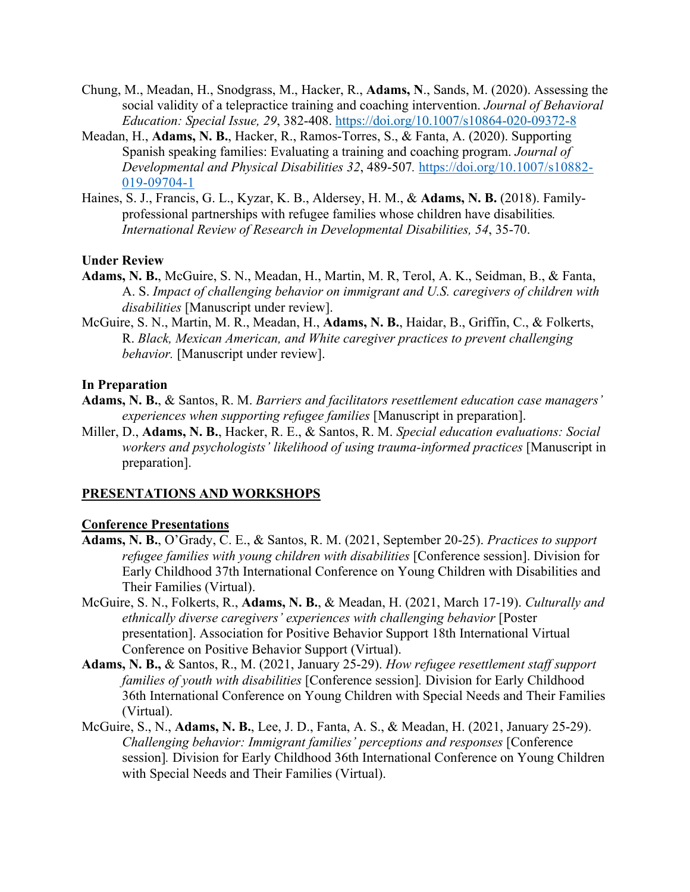- Chung, M., Meadan, H., Snodgrass, M., Hacker, R., **Adams, N**., Sands, M. (2020). Assessing the social validity of a telepractice training and coaching intervention. *Journal of Behavioral Education: Special Issue, 29*, 382-408. https://doi.org/10.1007/s10864-020-09372-8
- Meadan, H., **Adams, N. B.**, Hacker, R., Ramos-Torres, S., & Fanta, A. (2020). Supporting Spanish speaking families: Evaluating a training and coaching program. *Journal of Developmental and Physical Disabilities 32*, 489-507*.* https://doi.org/10.1007/s10882- 019-09704-1
- Haines, S. J., Francis, G. L., Kyzar, K. B., Aldersey, H. M., & **Adams, N. B.** (2018). Familyprofessional partnerships with refugee families whose children have disabilities*. International Review of Research in Developmental Disabilities, 54*, 35-70.

#### **Under Review**

- **Adams, N. B.**, McGuire, S. N., Meadan, H., Martin, M. R, Terol, A. K., Seidman, B., & Fanta, A. S. *Impact of challenging behavior on immigrant and U.S. caregivers of children with disabilities* [Manuscript under review].
- McGuire, S. N., Martin, M. R., Meadan, H., **Adams, N. B.**, Haidar, B., Griffin, C., & Folkerts, R. *Black, Mexican American, and White caregiver practices to prevent challenging behavior.* [Manuscript under review].

#### **In Preparation**

- **Adams, N. B.**, & Santos, R. M. *Barriers and facilitators resettlement education case managers' experiences when supporting refugee families* [Manuscript in preparation].
- Miller, D., **Adams, N. B.**, Hacker, R. E., & Santos, R. M. *Special education evaluations: Social workers and psychologists' likelihood of using trauma-informed practices* [Manuscript in preparation].

#### **PRESENTATIONS AND WORKSHOPS**

#### **Conference Presentations**

- **Adams, N. B.**, O'Grady, C. E., & Santos, R. M. (2021, September 20-25). *Practices to support refugee families with young children with disabilities* [Conference session]. Division for Early Childhood 37th International Conference on Young Children with Disabilities and Their Families (Virtual).
- McGuire, S. N., Folkerts, R., **Adams, N. B.**, & Meadan, H. (2021, March 17-19). *Culturally and ethnically diverse caregivers' experiences with challenging behavior* [Poster presentation]. Association for Positive Behavior Support 18th International Virtual Conference on Positive Behavior Support (Virtual).
- **Adams, N. B.,** & Santos, R., M. (2021, January 25-29). *How refugee resettlement staff support families of youth with disabilities* [Conference session]*.* Division for Early Childhood 36th International Conference on Young Children with Special Needs and Their Families (Virtual).
- McGuire, S., N., **Adams, N. B.**, Lee, J. D., Fanta, A. S., & Meadan, H. (2021, January 25-29). *Challenging behavior: Immigrant families' perceptions and responses* [Conference session]*.* Division for Early Childhood 36th International Conference on Young Children with Special Needs and Their Families (Virtual).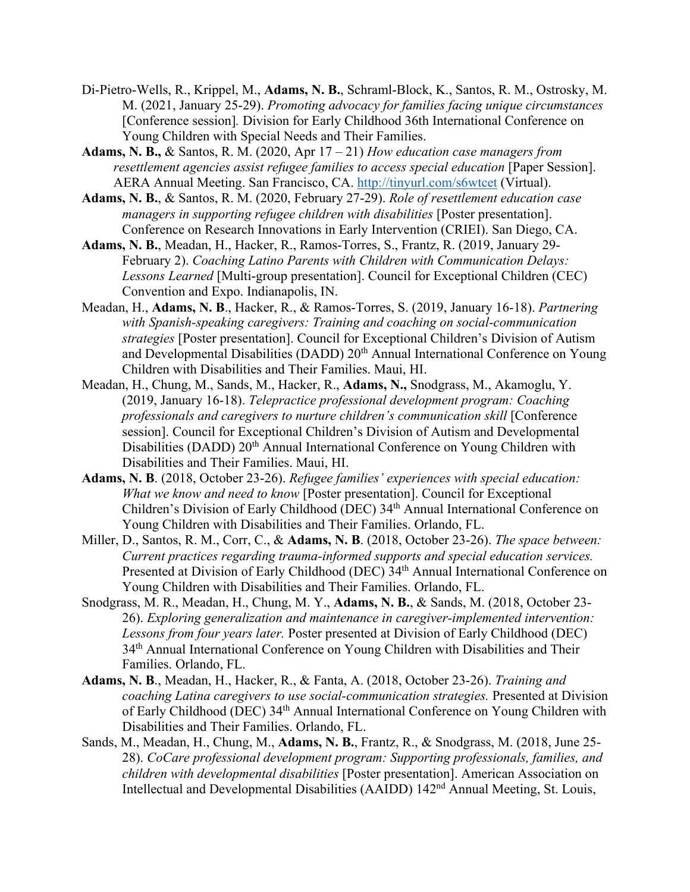- Di-Pietro-Wells, R., Krippel, M., **Adams, N. B.**, Schraml-Block, K., Santos, R. M., Ostrosky, M. M. (2021, January 25-29). *Promoting advocacy for families facing unique circumstances* [Conference session]*.* Division for Early Childhood 36th International Conference on Young Children with Special Needs and Their Families.
- **Adams, N. B.,** & Santos, R. M. (2020, Apr 17 21) *How education case managers from resettlement agencies assist refugee families to access special education* [Paper Session]. AERA Annual Meeting. San Francisco, CA. http://tinyurl.com/s6wtcet (Virtual).
- **Adams, N. B.**, & Santos, R. M. (2020, February 27-29). *Role of resettlement education case managers in supporting refugee children with disabilities* [Poster presentation]. Conference on Research Innovations in Early Intervention (CRIEI). San Diego, CA.
- **Adams, N. B.**, Meadan, H., Hacker, R., Ramos-Torres, S., Frantz, R. (2019, January 29- February 2). *Coaching Latino Parents with Children with Communication Delays: Lessons Learned* [Multi-group presentation]. Council for Exceptional Children (CEC) Convention and Expo. Indianapolis, IN.
- Meadan, H., **Adams, N. B**., Hacker, R., & Ramos-Torres, S. (2019, January 16-18). *Partnering with Spanish-speaking caregivers: Training and coaching on social-communication strategies* [Poster presentation]. Council for Exceptional Children's Division of Autism and Developmental Disabilities (DADD) 20<sup>th</sup> Annual International Conference on Young Children with Disabilities and Their Families. Maui, HI.
- Meadan, H., Chung, M., Sands, M., Hacker, R., **Adams, N.,** Snodgrass, M., Akamoglu, Y. (2019, January 16-18). *Telepractice professional development program: Coaching professionals and caregivers to nurture children's communication skill* [Conference session]. Council for Exceptional Children's Division of Autism and Developmental Disabilities (DADD) 20<sup>th</sup> Annual International Conference on Young Children with Disabilities and Their Families. Maui, HI.
- **Adams, N. B**. (2018, October 23-26). *Refugee families' experiences with special education: What we know and need to know* [Poster presentation]. Council for Exceptional Children's Division of Early Childhood (DEC) 34th Annual International Conference on Young Children with Disabilities and Their Families. Orlando, FL.
- Miller, D., Santos, R. M., Corr, C., & **Adams, N. B**. (2018, October 23-26). *The space between: Current practices regarding trauma-informed supports and special education services.*  Presented at Division of Early Childhood (DEC) 34<sup>th</sup> Annual International Conference on Young Children with Disabilities and Their Families. Orlando, FL.
- Snodgrass, M. R., Meadan, H., Chung, M. Y., **Adams, N. B.**, & Sands, M. (2018, October 23- 26). *Exploring generalization and maintenance in caregiver-implemented intervention: Lessons from four years later.* Poster presented at Division of Early Childhood (DEC) 34th Annual International Conference on Young Children with Disabilities and Their Families. Orlando, FL.
- **Adams, N. B**., Meadan, H., Hacker, R., & Fanta, A. (2018, October 23-26). *Training and coaching Latina caregivers to use social-communication strategies.* Presented at Division of Early Childhood (DEC) 34th Annual International Conference on Young Children with Disabilities and Their Families. Orlando, FL.
- Sands, M., Meadan, H., Chung, M., **Adams, N. B.**, Frantz, R., & Snodgrass, M. (2018, June 25- 28). *CoCare professional development program: Supporting professionals, families, and children with developmental disabilities* [Poster presentation]. American Association on Intellectual and Developmental Disabilities (AAIDD) 142nd Annual Meeting, St. Louis,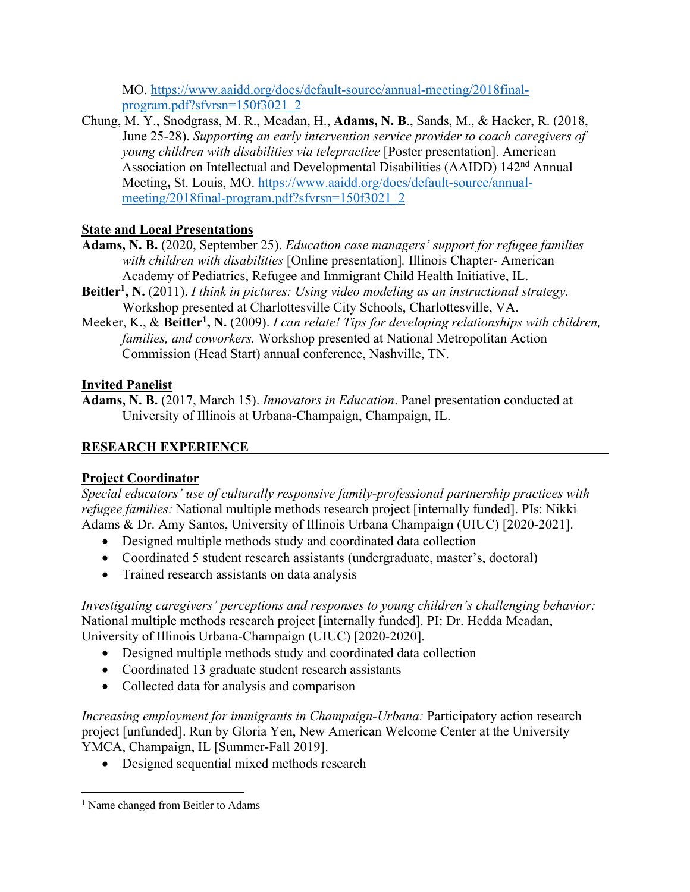MO. https://www.aaidd.org/docs/default-source/annual-meeting/2018finalprogram.pdf?sfvrsn=150f3021\_2

Chung, M. Y., Snodgrass, M. R., Meadan, H., **Adams, N. B**., Sands, M., & Hacker, R. (2018, June 25-28). *Supporting an early intervention service provider to coach caregivers of young children with disabilities via telepractice* [Poster presentation]. American Association on Intellectual and Developmental Disabilities (AAIDD) 142nd Annual Meeting**,** St. Louis, MO. https://www.aaidd.org/docs/default-source/annualmeeting/2018final-program.pdf?sfvrsn=150f3021\_2

# **State and Local Presentations**

- **Adams, N. B.** (2020, September 25). *Education case managers' support for refugee families with children with disabilities* [Online presentation]*.* Illinois Chapter- American Academy of Pediatrics, Refugee and Immigrant Child Health Initiative, IL.
- **Beitler1, N.** (2011). *I think in pictures: Using video modeling as an instructional strategy.* Workshop presented at Charlottesville City Schools, Charlottesville, VA.
- Meeker, K., & Beitler<sup>1</sup>, N. (2009). *I can relate! Tips for developing relationships with children, families, and coworkers.* Workshop presented at National Metropolitan Action Commission (Head Start) annual conference, Nashville, TN.

# **Invited Panelist**

**Adams, N. B.** (2017, March 15). *Innovators in Education*. Panel presentation conducted at University of Illinois at Urbana-Champaign, Champaign, IL.

# **RESEARCH EXPERIENCE**

# **Project Coordinator**

*Special educators' use of culturally responsive family-professional partnership practices with refugee families:* National multiple methods research project [internally funded]. PIs: Nikki Adams & Dr. Amy Santos, University of Illinois Urbana Champaign (UIUC) [2020-2021].

- Designed multiple methods study and coordinated data collection
- Coordinated 5 student research assistants (undergraduate, master's, doctoral)
- Trained research assistants on data analysis

*Investigating caregivers' perceptions and responses to young children's challenging behavior:* National multiple methods research project [internally funded]. PI: Dr. Hedda Meadan, University of Illinois Urbana-Champaign (UIUC) [2020-2020].

- Designed multiple methods study and coordinated data collection
- Coordinated 13 graduate student research assistants
- Collected data for analysis and comparison

*Increasing employment for immigrants in Champaign-Urbana: Participatory action research* project [unfunded]. Run by Gloria Yen, New American Welcome Center at the University YMCA, Champaign, IL [Summer-Fall 2019].

• Designed sequential mixed methods research

<sup>&</sup>lt;sup>1</sup> Name changed from Beitler to Adams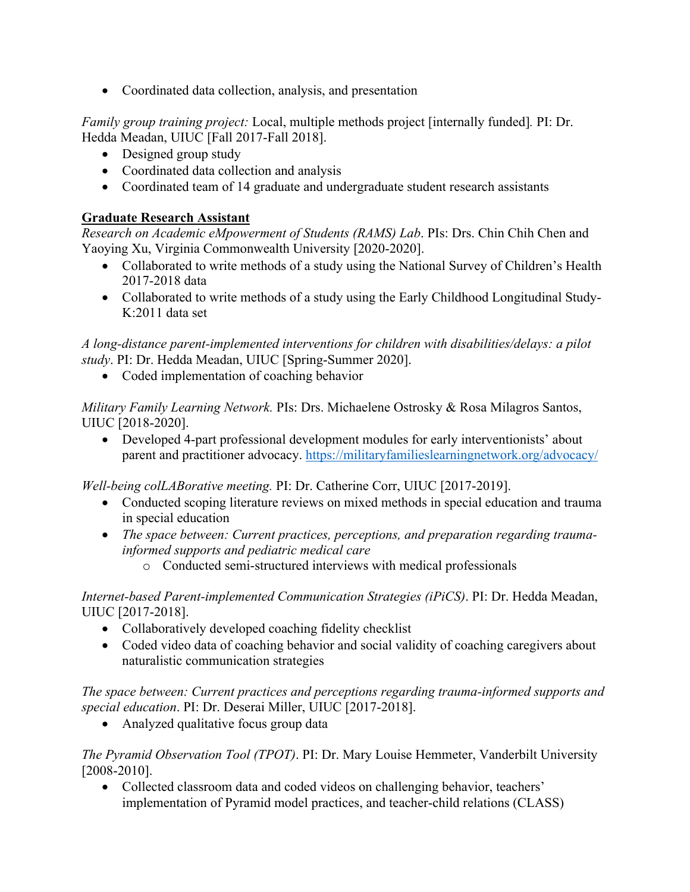• Coordinated data collection, analysis, and presentation

*Family group training project:* Local, multiple methods project [internally funded]*.* PI: Dr. Hedda Meadan, UIUC [Fall 2017-Fall 2018].

- Designed group study
- Coordinated data collection and analysis
- Coordinated team of 14 graduate and undergraduate student research assistants

#### **Graduate Research Assistant**

*Research on Academic eMpowerment of Students (RAMS) Lab*. PIs: Drs. Chin Chih Chen and Yaoying Xu, Virginia Commonwealth University [2020-2020].

- Collaborated to write methods of a study using the National Survey of Children's Health 2017-2018 data
- Collaborated to write methods of a study using the Early Childhood Longitudinal Study-K:2011 data set

*A long-distance parent-implemented interventions for children with disabilities/delays: a pilot study*. PI: Dr. Hedda Meadan, UIUC [Spring-Summer 2020].

• Coded implementation of coaching behavior

*Military Family Learning Network.* PIs: Drs. Michaelene Ostrosky & Rosa Milagros Santos, UIUC [2018-2020].

• Developed 4-part professional development modules for early interventionists' about parent and practitioner advocacy. https://militaryfamilieslearningnetwork.org/advocacy/

*Well-being colLABorative meeting.* PI: Dr. Catherine Corr, UIUC [2017-2019].

- Conducted scoping literature reviews on mixed methods in special education and trauma in special education
- *The space between: Current practices, perceptions, and preparation regarding traumainformed supports and pediatric medical care*
	- o Conducted semi-structured interviews with medical professionals

*Internet-based Parent-implemented Communication Strategies (iPiCS)*. PI: Dr. Hedda Meadan, UIUC [2017-2018].

- Collaboratively developed coaching fidelity checklist
- Coded video data of coaching behavior and social validity of coaching caregivers about naturalistic communication strategies

*The space between: Current practices and perceptions regarding trauma-informed supports and special education*. PI: Dr. Deserai Miller, UIUC [2017-2018].

• Analyzed qualitative focus group data

*The Pyramid Observation Tool (TPOT)*. PI: Dr. Mary Louise Hemmeter, Vanderbilt University [2008-2010].

• Collected classroom data and coded videos on challenging behavior, teachers' implementation of Pyramid model practices, and teacher-child relations (CLASS)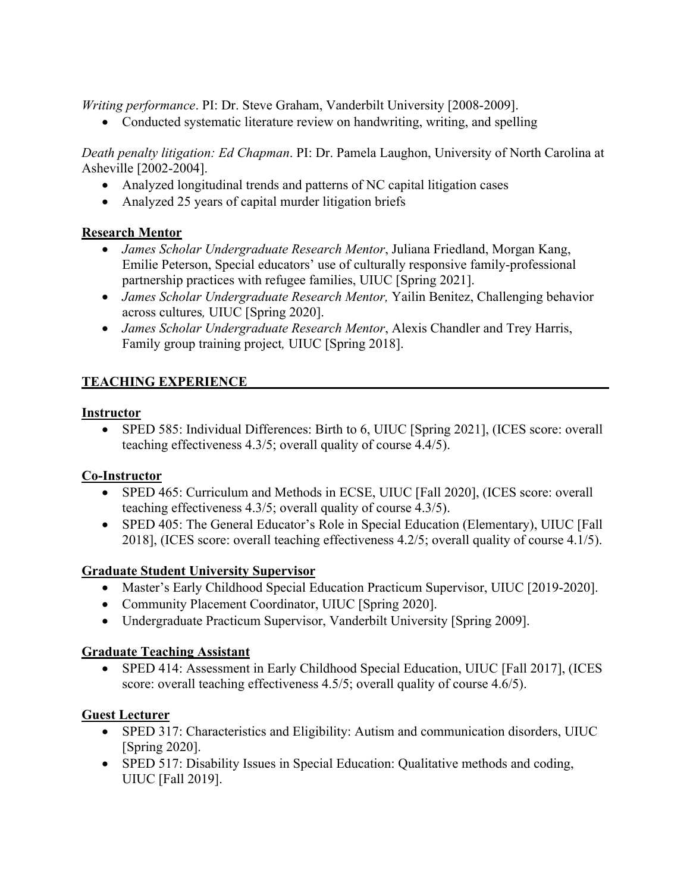*Writing performance*. PI: Dr. Steve Graham, Vanderbilt University [2008-2009].

• Conducted systematic literature review on handwriting, writing, and spelling

*Death penalty litigation: Ed Chapman*. PI: Dr. Pamela Laughon, University of North Carolina at Asheville [2002-2004].

- Analyzed longitudinal trends and patterns of NC capital litigation cases
- Analyzed 25 years of capital murder litigation briefs

# **Research Mentor**

- *James Scholar Undergraduate Research Mentor*, Juliana Friedland, Morgan Kang, Emilie Peterson, Special educators' use of culturally responsive family-professional partnership practices with refugee families, UIUC [Spring 2021].
- *James Scholar Undergraduate Research Mentor,* Yailin Benitez, Challenging behavior across cultures*,* UIUC [Spring 2020].
- *James Scholar Undergraduate Research Mentor*, Alexis Chandler and Trey Harris, Family group training project*,* UIUC [Spring 2018].

# **TEACHING EXPERIENCE**

### **Instructor**

• SPED 585: Individual Differences: Birth to 6, UIUC [Spring 2021], (ICES score: overall teaching effectiveness 4.3/5; overall quality of course 4.4/5).

### **Co-Instructor**

- SPED 465: Curriculum and Methods in ECSE, UIUC [Fall 2020], (ICES score: overall teaching effectiveness 4.3/5; overall quality of course 4.3/5).
- SPED 405: The General Educator's Role in Special Education (Elementary), UIUC [Fall 2018], (ICES score: overall teaching effectiveness 4.2/5; overall quality of course 4.1/5).

### **Graduate Student University Supervisor**

- Master's Early Childhood Special Education Practicum Supervisor, UIUC [2019-2020].
- Community Placement Coordinator, UIUC [Spring 2020].
- Undergraduate Practicum Supervisor, Vanderbilt University [Spring 2009].

### **Graduate Teaching Assistant**

• SPED 414: Assessment in Early Childhood Special Education, UIUC [Fall 2017], (ICES score: overall teaching effectiveness 4.5/5; overall quality of course 4.6/5).

### **Guest Lecturer**

- SPED 317: Characteristics and Eligibility: Autism and communication disorders, UIUC [Spring 2020].
- SPED 517: Disability Issues in Special Education: Qualitative methods and coding, UIUC [Fall 2019].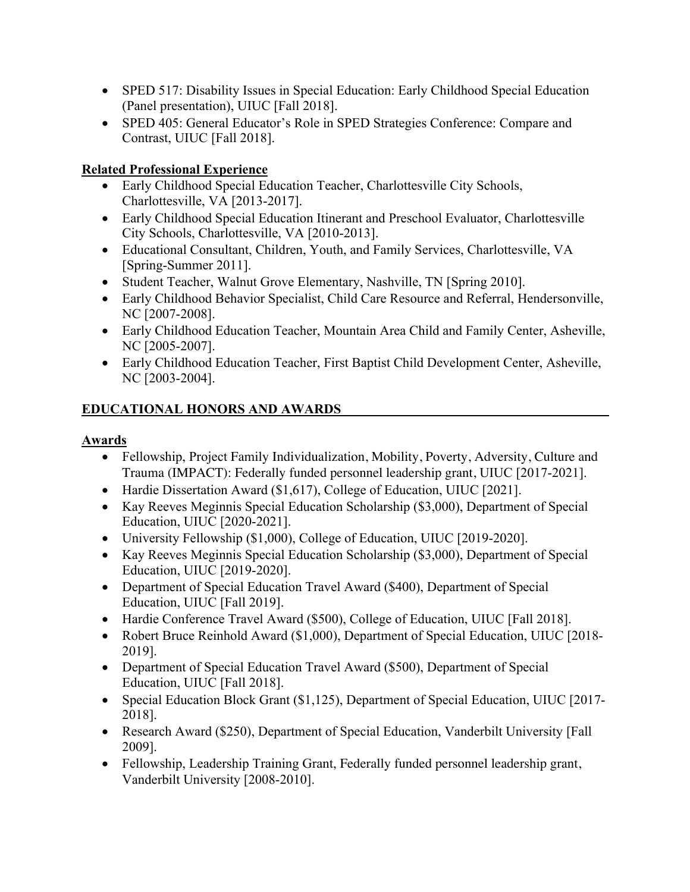- SPED 517: Disability Issues in Special Education: Early Childhood Special Education (Panel presentation), UIUC [Fall 2018].
- SPED 405: General Educator's Role in SPED Strategies Conference: Compare and Contrast, UIUC [Fall 2018].

# **Related Professional Experience**

- Early Childhood Special Education Teacher, Charlottesville City Schools, Charlottesville, VA [2013-2017].
- Early Childhood Special Education Itinerant and Preschool Evaluator, Charlottesville City Schools, Charlottesville, VA [2010-2013].
- Educational Consultant, Children, Youth, and Family Services, Charlottesville, VA [Spring-Summer 2011].
- Student Teacher, Walnut Grove Elementary, Nashville, TN [Spring 2010].
- Early Childhood Behavior Specialist, Child Care Resource and Referral, Hendersonville, NC [2007-2008].
- Early Childhood Education Teacher, Mountain Area Child and Family Center, Asheville, NC [2005-2007].
- Early Childhood Education Teacher, First Baptist Child Development Center, Asheville, NC [2003-2004].

# **EDUCATIONAL HONORS AND AWARDS**

### **Awards**

- Fellowship, Project Family Individualization, Mobility, Poverty, Adversity, Culture and Trauma (IMPACT): Federally funded personnel leadership grant, UIUC [2017-2021].
- Hardie Dissertation Award (\$1,617), College of Education, UIUC [2021].
- Kay Reeves Meginnis Special Education Scholarship (\$3,000), Department of Special Education, UIUC [2020-2021].
- University Fellowship (\$1,000), College of Education, UIUC [2019-2020].
- Kay Reeves Meginnis Special Education Scholarship (\$3,000), Department of Special Education, UIUC [2019-2020].
- Department of Special Education Travel Award (\$400), Department of Special Education, UIUC [Fall 2019].
- Hardie Conference Travel Award (\$500), College of Education, UIUC [Fall 2018].
- Robert Bruce Reinhold Award (\$1,000), Department of Special Education, UIUC [2018-2019].
- Department of Special Education Travel Award (\$500), Department of Special Education, UIUC [Fall 2018].
- Special Education Block Grant (\$1,125), Department of Special Education, UIUC [2017-2018].
- Research Award (\$250), Department of Special Education, Vanderbilt University [Fall 2009].
- Fellowship, Leadership Training Grant, Federally funded personnel leadership grant, Vanderbilt University [2008-2010].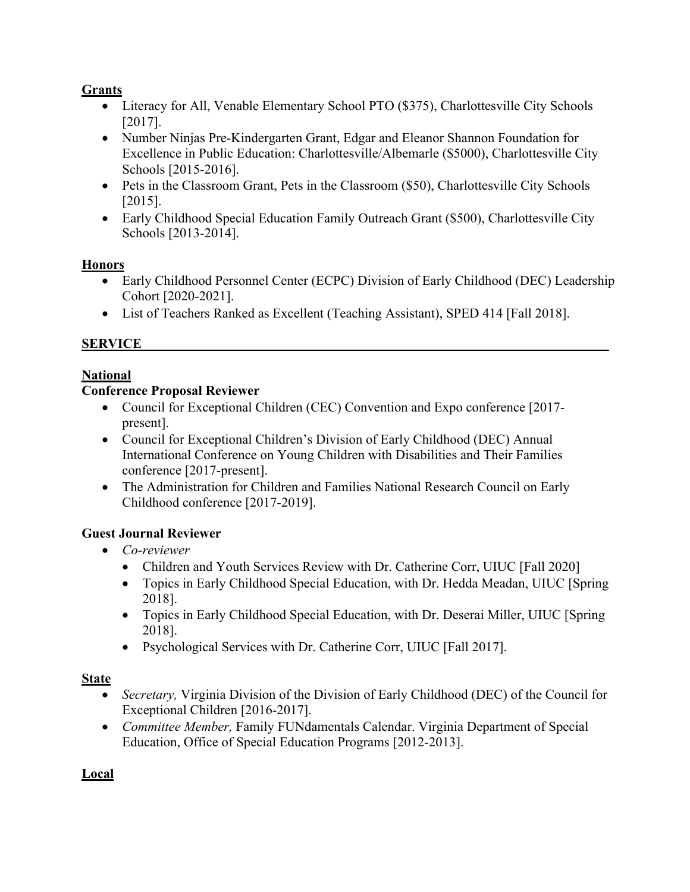## **Grants**

- Literacy for All, Venable Elementary School PTO (\$375), Charlottesville City Schools [2017].
- Number Ninjas Pre-Kindergarten Grant, Edgar and Eleanor Shannon Foundation for Excellence in Public Education: Charlottesville/Albemarle (\$5000), Charlottesville City Schools [2015-2016].
- Pets in the Classroom Grant, Pets in the Classroom (\$50), Charlottesville City Schools [2015].
- Early Childhood Special Education Family Outreach Grant (\$500), Charlottesville City Schools [2013-2014].

### **Honors**

- Early Childhood Personnel Center (ECPC) Division of Early Childhood (DEC) Leadership Cohort [2020-2021].
- List of Teachers Ranked as Excellent (Teaching Assistant), SPED 414 [Fall 2018].

# **SERVICE**

# **National**

### **Conference Proposal Reviewer**

- Council for Exceptional Children (CEC) Convention and Expo conference [2017present].
- Council for Exceptional Children's Division of Early Childhood (DEC) Annual International Conference on Young Children with Disabilities and Their Families conference [2017-present].
- The Administration for Children and Families National Research Council on Early Childhood conference [2017-2019].

# **Guest Journal Reviewer**

- *Co-reviewer*
	- Children and Youth Services Review with Dr. Catherine Corr, UIUC [Fall 2020]
	- Topics in Early Childhood Special Education, with Dr. Hedda Meadan, UIUC [Spring] 2018].
	- Topics in Early Childhood Special Education, with Dr. Deserai Miller, UIUC [Spring] 2018].
	- Psychological Services with Dr. Catherine Corr, UIUC [Fall 2017].

# **State**

- *Secretary,* Virginia Division of the Division of Early Childhood (DEC) of the Council for Exceptional Children [2016-2017].
- *Committee Member,* Family FUNdamentals Calendar. Virginia Department of Special Education, Office of Special Education Programs [2012-2013].

**Local**